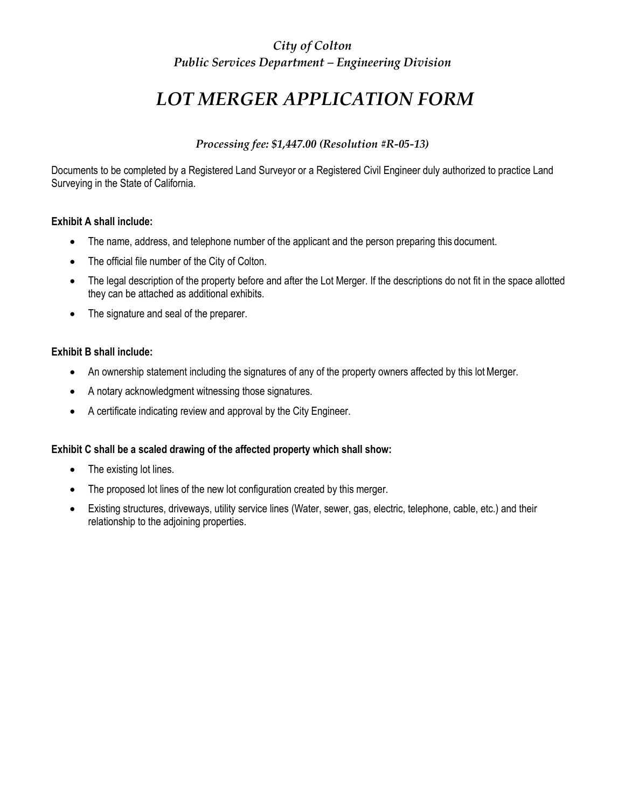### *City of Colton Public Services Department – Engineering Division*

## *LOT MERGER APPLICATION FORM*

### *Processing fee: \$1,447.00 (Resolution #R-05-13)*

Documents to be completed by a Registered Land Surveyor or a Registered Civil Engineer duly authorized to practice Land Surveying in the State of California.

### **Exhibit A shall include:**

- The name, address, and telephone number of the applicant and the person preparing this document.
- The official file number of the City of Colton.
- The legal description of the property before and after the Lot Merger. If the descriptions do not fit in the space allotted they can be attached as additional exhibits.
- The signature and seal of the preparer.

### **Exhibit B shall include:**

- An ownership statement including the signatures of any of the property owners affected by this lot Merger.
- A notary acknowledgment witnessing those signatures.
- A certificate indicating review and approval by the City Engineer.

### **Exhibit C shall be a scaled drawing of the affected property which shall show:**

- The existing lot lines.
- The proposed lot lines of the new lot configuration created by this merger.
- Existing structures, driveways, utility service lines (Water, sewer, gas, electric, telephone, cable, etc.) and their relationship to the adjoining properties.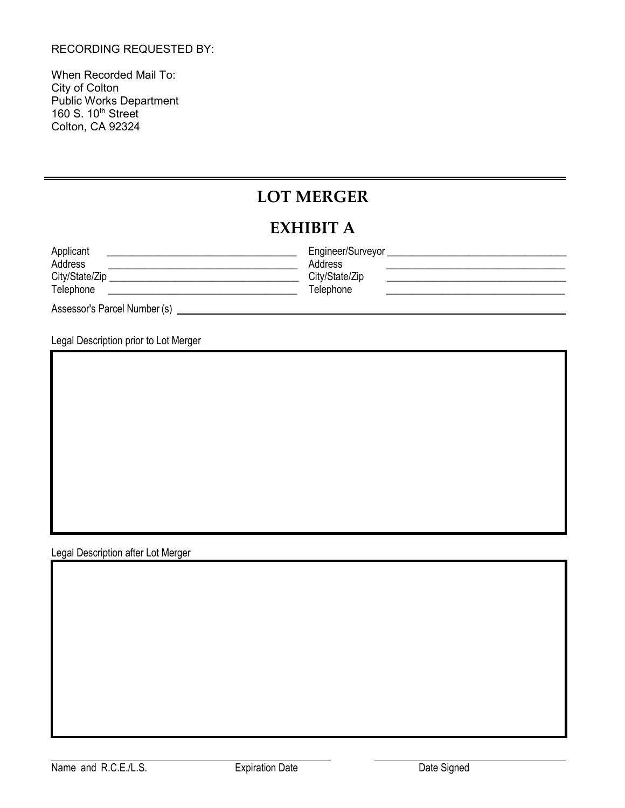#### RECORDING REQUESTED BY:

When Recorded Mail To: City of Colton Public Works Department 160 S. 10<sup>th</sup> Street Colton, CA 92324

### **LOT MERGER**

### **EXHIBIT A**

| Applicant                    | Engineer/Surveyor |
|------------------------------|-------------------|
| Address                      | <b>Address</b>    |
| City/State/Zip               | City/State/Zip    |
| Telephone                    | Telephone         |
| Assessor's Parcel Number (s) |                   |

Legal Description prior to Lot Merger

Legal Description after Lot Merger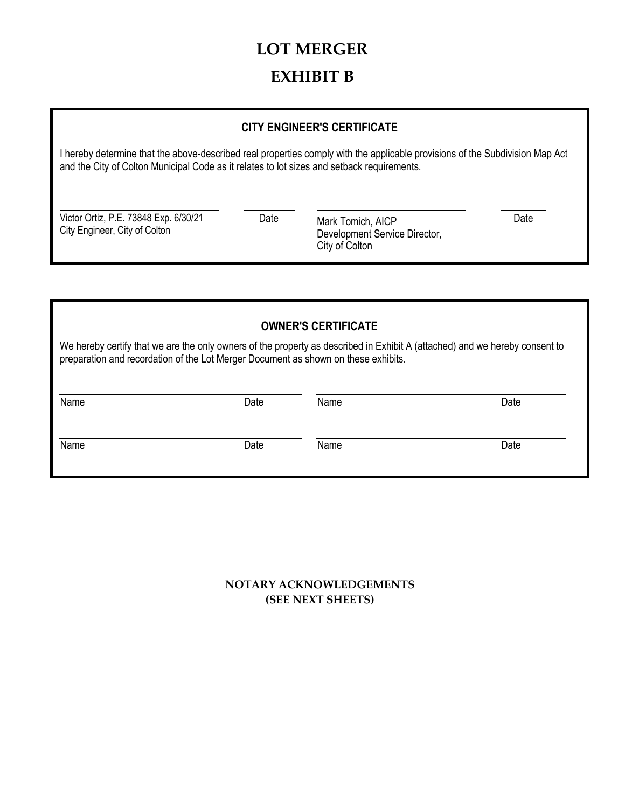# **LOT MERGER EXHIBIT B**

### **CITY ENGINEER'S CERTIFICATE**

I hereby determine that the above-described real properties comply with the applicable provisions of the Subdivision Map Act and the City of Colton Municipal Code as it relates to lot sizes and setback requirements.

Victor Ortiz, P.E. 73848 Exp. 6/30/21 Date City Engineer, City of Colton

Mark Tomich, AICP Date Development Service Director, City of Colton

| <b>OWNER'S CERTIFICATE</b>                                                                                                                                                                                        |      |      |      |  |
|-------------------------------------------------------------------------------------------------------------------------------------------------------------------------------------------------------------------|------|------|------|--|
| We hereby certify that we are the only owners of the property as described in Exhibit A (attached) and we hereby consent to<br>preparation and recordation of the Lot Merger Document as shown on these exhibits. |      |      |      |  |
|                                                                                                                                                                                                                   |      |      |      |  |
| Name                                                                                                                                                                                                              | Date | Name | Date |  |
| Name                                                                                                                                                                                                              | Date | Name | Date |  |

**NOTARY ACKNOWLEDGEMENTS (SEE NEXT SHEETS)**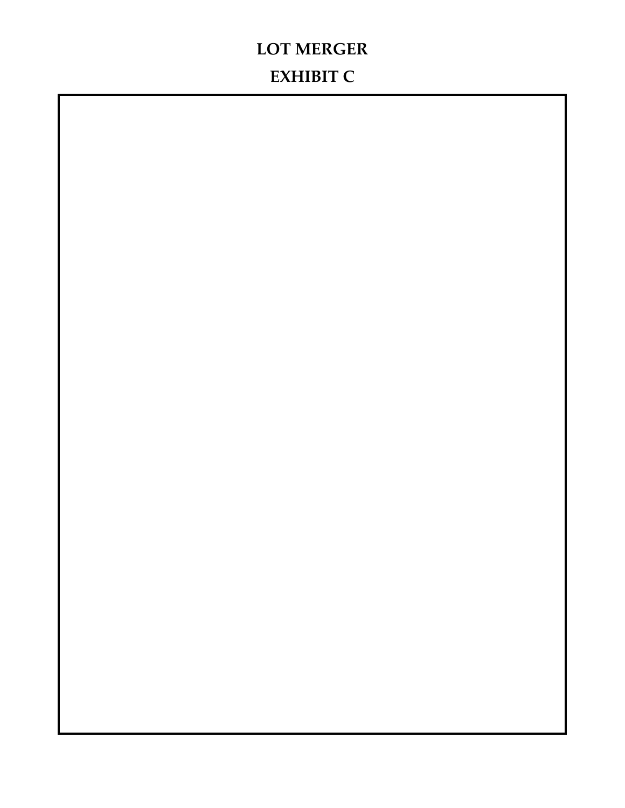## **LOT MERGER EXHIBIT C**